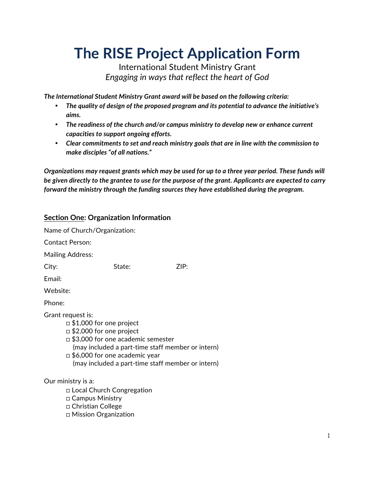# **The RISE Project Application Form**

International Student Ministry Grant *Engaging in ways that reflect the heart of God*

*The International Student Ministry Grant award will be based on the following criteria:* 

- *The quality of design of the proposed program and its potential to advance the initiative's aims.*
- *The readiness of the church and/or campus ministry to develop new or enhance current capacities to support ongoing efforts.*
- *Clear commitments to set and reach ministry goals that are in line with the commission to make disciples "of all nations."*

*Organizations may request grants which may be used for up to a three year period. These funds will be given directly to the grantee to use for the purpose of the grant. Applicants are expected to carry forward the ministry through the funding sources they have established during the program.*

#### **Section One: Organization Information**

□ Mission Organization

Name of Church/Organization: Contact Person: Mailing Address: City: State: ZIP: Email: Website: Phone: Grant request is: □ \$1,000 for one project □ \$2,000 for one project □ \$3,000 for one academic semester (may included a part-time staff member or intern) □ \$6,000 for one academic year (may included a part-time staff member or intern) Our ministry is a: □ Local Church Congregation □ Campus Ministry □ Christian College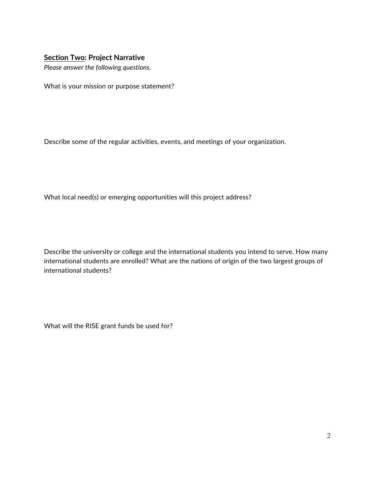#### **Section Two: Project Narrative**

*Please answer the following questions.*

What is your mission or purpose statement?

Describe some of the regular activities, events, and meetings of your organization.

What local need(s) or emerging opportunities will this project address?

Describe the university or college and the international students you intend to serve. How many international students are enrolled? What are the nations of origin of the two largest groups of international students?

What will the RISE grant funds be used for?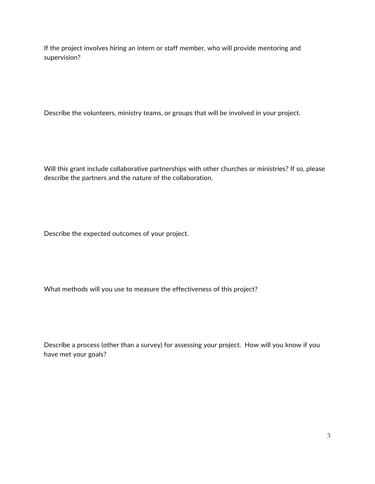If the project involves hiring an intern or staff member, who will provide mentoring and supervision?

Describe the volunteers, ministry teams, or groups that will be involved in your project.

Will this grant include collaborative partnerships with other churches or ministries? If so, please describe the partners and the nature of the collaboration.

Describe the expected outcomes of your project.

What methods will you use to measure the effectiveness of this project?

Describe a process (other than a survey) for assessing your project. How will you know if you have met your goals?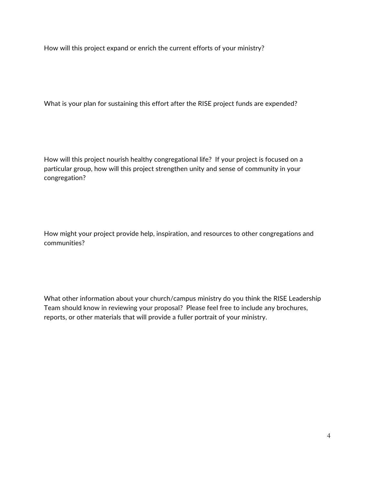How will this project expand or enrich the current efforts of your ministry?

What is your plan for sustaining this effort after the RISE project funds are expended?

How will this project nourish healthy congregational life? If your project is focused on a particular group, how will this project strengthen unity and sense of community in your congregation?

How might your project provide help, inspiration, and resources to other congregations and communities?

What other information about your church/campus ministry do you think the RISE Leadership Team should know in reviewing your proposal? Please feel free to include any brochures, reports, or other materials that will provide a fuller portrait of your ministry.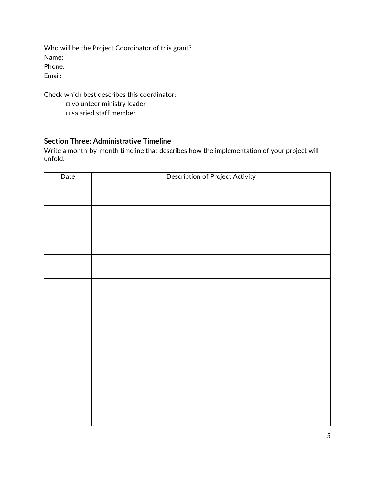Who will be the Project Coordinator of this grant? Name: Phone: Email:

Check which best describes this coordinator:

□ volunteer ministry leader

□ salaried staff member

#### **Section Three: Administrative Timeline**

Write a month-by-month timeline that describes how the implementation of your project will unfold.

| Date | <b>Description of Project Activity</b> |
|------|----------------------------------------|
|      |                                        |
|      |                                        |
|      |                                        |
|      |                                        |
|      |                                        |
|      |                                        |
|      |                                        |
|      |                                        |
|      |                                        |
|      |                                        |
|      |                                        |
|      |                                        |
|      |                                        |
|      |                                        |
|      |                                        |
|      |                                        |
|      |                                        |
|      |                                        |
|      |                                        |
|      |                                        |